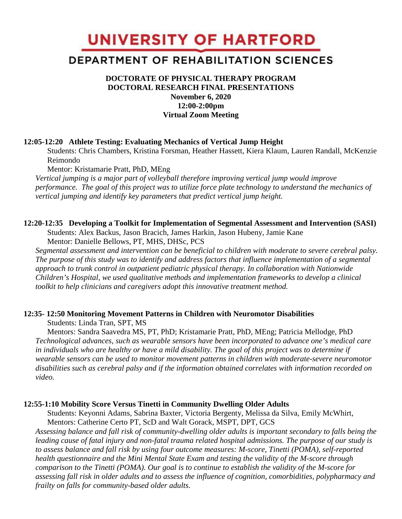UNIVERSITY OF HARTFORD

# DEPARTMENT OF REHABILITATION SCIENCES

# **DOCTORATE OF PHYSICAL THERAPY PROGRAM DOCTORAL RESEARCH FINAL PRESENTATIONS November 6, 2020 12:00-2:00pm Virtual Zoom Meeting**

#### **12:05-12:20 Athlete Testing: Evaluating Mechanics of Vertical Jump Height**

Students: Chris Chambers, Kristina Forsman, Heather Hassett, Kiera Klaum, Lauren Randall, McKenzie Reimondo

Mentor: Kristamarie Pratt, PhD, MEng

*Vertical jumping is a major part of volleyball therefore improving vertical jump would improve performance. The goal of this project was to utilize force plate technology to understand the mechanics of vertical jumping and identify key parameters that predict vertical jump height.* 

### **12:20-12:35 Developing a Toolkit for Implementation of Segmental Assessment and Intervention (SASI)**

Students: Alex Backus, Jason Bracich, James Harkin, Jason Hubeny, Jamie Kane Mentor: Danielle Bellows, PT, MHS, DHSc, PCS

*Segmental assessment and intervention can be beneficial to children with moderate to severe cerebral palsy. The purpose of this study was to identify and address factors that influence implementation of a segmental approach to trunk control in outpatient pediatric physical therapy. In collaboration with Nationwide Children's Hospital, we used qualitative methods and implementation frameworks to develop a clinical toolkit to help clinicians and caregivers adopt this innovative treatment method.*

# **12:35- 12:50 Monitoring Movement Patterns in Children with Neuromotor Disabilities**

Students: Linda Tran, SPT, MS

Mentors: Sandra Saavedra MS, PT, PhD; Kristamarie Pratt, PhD, MEng; Patricia Mellodge, PhD *Technological advances, such as wearable sensors have been incorporated to advance one's medical care in individuals who are healthy or have a mild disability. The goal of this project was to determine if wearable sensors can be used to monitor movement patterns in children with moderate-severe neuromotor disabilities such as cerebral palsy and if the information obtained correlates with information recorded on video.*

### **12:55-1:10 Mobility Score Versus Tinetti in Community Dwelling Older Adults**

Students: Keyonni Adams, Sabrina Baxter, Victoria Bergenty, Melissa da Silva, Emily McWhirt, Mentors: Catherine Certo PT, ScD and Walt Gorack, MSPT, DPT, GCS

*Assessing balance and fall risk of community-dwelling older adults is important secondary to falls being the leading cause of fatal injury and non-fatal trauma related hospital admissions. The purpose of our study is to assess balance and fall risk by using four outcome measures: M-score, Tinetti (POMA), self-reported health questionnaire and the Mini Mental State Exam and testing the validity of the M-score through comparison to the Tinetti (POMA). Our goal is to continue to establish the validity of the M-score for assessing fall risk in older adults and to assess the influence of cognition, comorbidities, polypharmacy and frailty on falls for community-based older adults.*